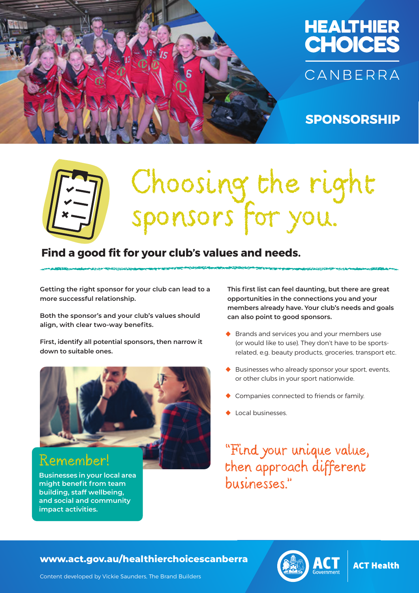



### **SPONSORSHIP**

# Choosing the right sponsors for you.

## Identify your potential sponsors **Find a good fit for your club's values and needs.**

**Getting the right sponsor for your club can lead to a more successful relationship.** 

**Both the sponsor's and your club's values should align, with clear two-way benefits.**

**First, identify all potential sponsors, then narrow it down to suitable ones.**



### Remember!

Businesses in your local area<br>and the pitch of the pitch of the pitch of the pitch of the pitch of the pitch of the pitch of the pitch of the pitch of the pitch of the pitch of the pitch of the pitch of the pitch of the pi **Businesses in your local area might benefit from team building, staff wellbeing, and social and community impact activities.**

**This first list can feel daunting, but there are great opportunities in the connections you and your members already have. Your club's needs and goals can also point to good sponsors.**

- **•** Brands and services you and your members use (or would like to use). They don't have to be sportsrelated, e.g. beauty products, groceries, transport etc.
- **•** Businesses who already sponsor your sport, events, or other clubs in your sport nationwide.
- **•** Companies connected to friends or family.
- **•** Local businesses.

"Find your unique value, then approach different businesses."

HEALTHIER CHOICES CANBERRA **www.act.gov.au/healthierchoicescanberra**